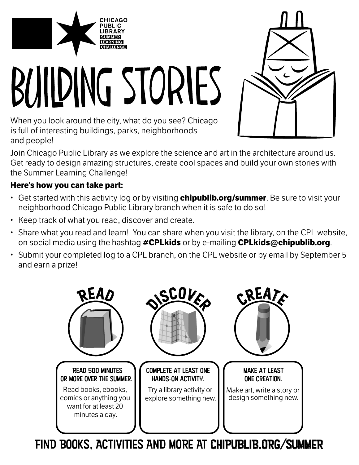

# BUILDING STORIES

When you look around the city, what do you see? Chicago is full of interesting buildings, parks, neighborhoods and people!

Join Chicago Public Library as we explore the science and art in the architecture around us. Get ready to design amazing structures, create cool spaces and build your own stories with the Summer Learning Challenge!

#### **Here's how you can take part:**

- Get started with this activity log or by visiting **chipublib.org/summer**. Be sure to visit your neighborhood Chicago Public Library branch when it is safe to do so!
- Keep track of what you read, discover and create.
- Share what you read and learn! You can share when you visit the library, on the CPL website, on social media using the hashtag **#CPLkids** or by e-mailing **CPLkids@chipublib.org**.
- Submit your completed log to a CPL branch, on the CPL website or by email by September 5 and earn a prize!



FIND BOOKS, ACTIVITIES AND MORE AT CHIPUBLIB.ORG/SUMMER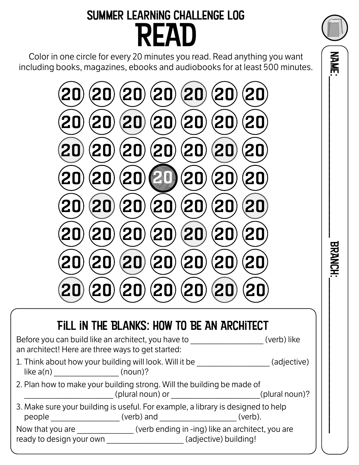### Summer Learning Challenge Log READ

Color in one circle for every 20 minutes you read. Read anything you want including books, magazines, ebooks and audiobooks for at least 500 minutes.



#### Fill in the Blanks: How to Be An Architect Before you can build like an architect, you have to \_\_\_\_\_\_\_\_\_\_\_\_\_\_\_\_\_\_\_\_(verb) like an architect! Here are three ways to get started:

| 1. Think about how your building will look. Will it be |         | (adjective) |
|--------------------------------------------------------|---------|-------------|
| like $a(n)$                                            | (noun)? |             |

| 2. Plan how to make your building strong. Will the building be made of |                  |                |
|------------------------------------------------------------------------|------------------|----------------|
|                                                                        | (plural noun) or | (plural noun)? |

|        | 3. Make sure your building is useful. For example, a library is designed to help |         |
|--------|----------------------------------------------------------------------------------|---------|
| people | (verb) and                                                                       | (verb). |

Now that you are \_\_\_\_\_\_\_\_\_\_\_\_\_\_ (verb ending in -ing) like an architect, you are ready to design your own **the contract of the contract of the contract of the contract of the contract of the c** 

 NAME:\_\_\_\_\_\_\_\_\_\_\_\_\_\_\_\_\_\_\_\_\_\_\_\_\_\_\_\_\_ BRANCH:\_\_\_\_\_\_\_\_\_\_\_\_\_\_\_\_\_\_\_\_\_\_\_\_\_\_\_\_ **BRANCH** 

**NANE:**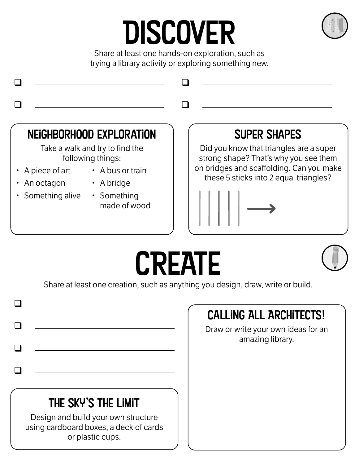## DISCOVER



Share at least one hands-on exploration, such as trying a library activity or exploring something new.



Share at least one creation, such as anything you design, draw, write or build.

|                                                                                                   | <b>CALLING ALL ARCHITECTS!</b>                          |
|---------------------------------------------------------------------------------------------------|---------------------------------------------------------|
|                                                                                                   | Draw or write your own ideas for an<br>amazing library. |
|                                                                                                   |                                                         |
|                                                                                                   |                                                         |
|                                                                                                   |                                                         |
| THE SKY'S THE LIMIT                                                                               |                                                         |
| Design and build your own structure<br>using cardboard boxes, a deck of cards<br>or plastic cups. |                                                         |